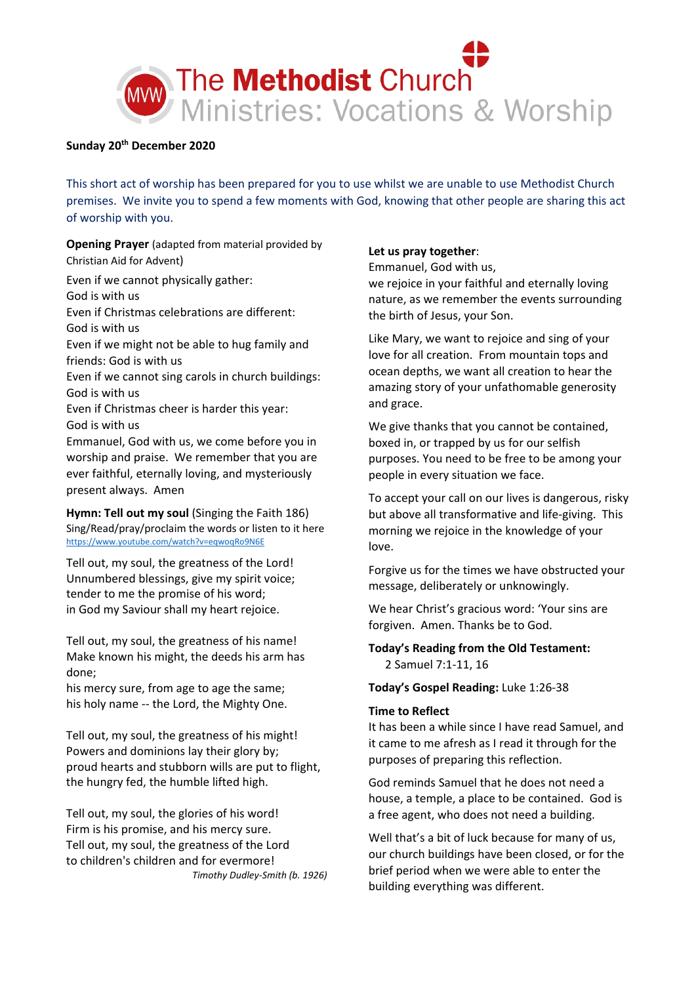

# **Sunday 20th December 2020**

This short act of worship has been prepared for you to use whilst we are unable to use Methodist Church premises. We invite you to spend a few moments with God, knowing that other people are sharing this act of worship with you.

**Opening Prayer** (adapted from material provided by Christian Aid for Advent)

Even if we cannot physically gather:

God is with us

Even if Christmas celebrations are different:

God is with us

Even if we might not be able to hug family and friends: God is with us

Even if we cannot sing carols in church buildings: God is with us

Even if Christmas cheer is harder this year: God is with us

Emmanuel, God with us, we come before you in worship and praise. We remember that you are ever faithful, eternally loving, and mysteriously present always. Amen

**Hymn: Tell out my soul** (Singing the Faith 186) Sing/Read/pray/proclaim the words or listen to it here <https://www.youtube.com/watch?v=eqwoqRo9N6E>

Tell out, my soul, the greatness of the Lord! Unnumbered blessings, give my spirit voice; tender to me the promise of his word; in God my Saviour shall my heart rejoice.

Tell out, my soul, the greatness of his name! Make known his might, the deeds his arm has done;

his mercy sure, from age to age the same; his holy name -- the Lord, the Mighty One.

Tell out, my soul, the greatness of his might! Powers and dominions lay their glory by; proud hearts and stubborn wills are put to flight, the hungry fed, the humble lifted high.

Tell out, my soul, the glories of his word! Firm is his promise, and his mercy sure. Tell out, my soul, the greatness of the Lord to children's children and for evermore! *Timothy Dudley-Smith (b. 1926)*

### **Let us pray together**:

Emmanuel, God with us,

we rejoice in your faithful and eternally loving nature, as we remember the events surrounding the birth of Jesus, your Son.

Like Mary, we want to rejoice and sing of your love for all creation. From mountain tops and ocean depths, we want all creation to hear the amazing story of your unfathomable generosity and grace.

We give thanks that you cannot be contained, boxed in, or trapped by us for our selfish purposes. You need to be free to be among your people in every situation we face.

To accept your call on our lives is dangerous, risky but above all transformative and life-giving. This morning we rejoice in the knowledge of your love.

Forgive us for the times we have obstructed your message, deliberately or unknowingly.

We hear Christ's gracious word: 'Your sins are forgiven. Amen. Thanks be to God.

# **Today's Reading from the Old Testament:**  2 Samuel 7:1-11, 16

## **Today's Gospel Reading:** Luke 1:26-38

## **Time to Reflect**

It has been a while since I have read Samuel, and it came to me afresh as I read it through for the purposes of preparing this reflection.

God reminds Samuel that he does not need a house, a temple, a place to be contained. God is a free agent, who does not need a building.

Well that's a bit of luck because for many of us, our church buildings have been closed, or for the brief period when we were able to enter the building everything was different.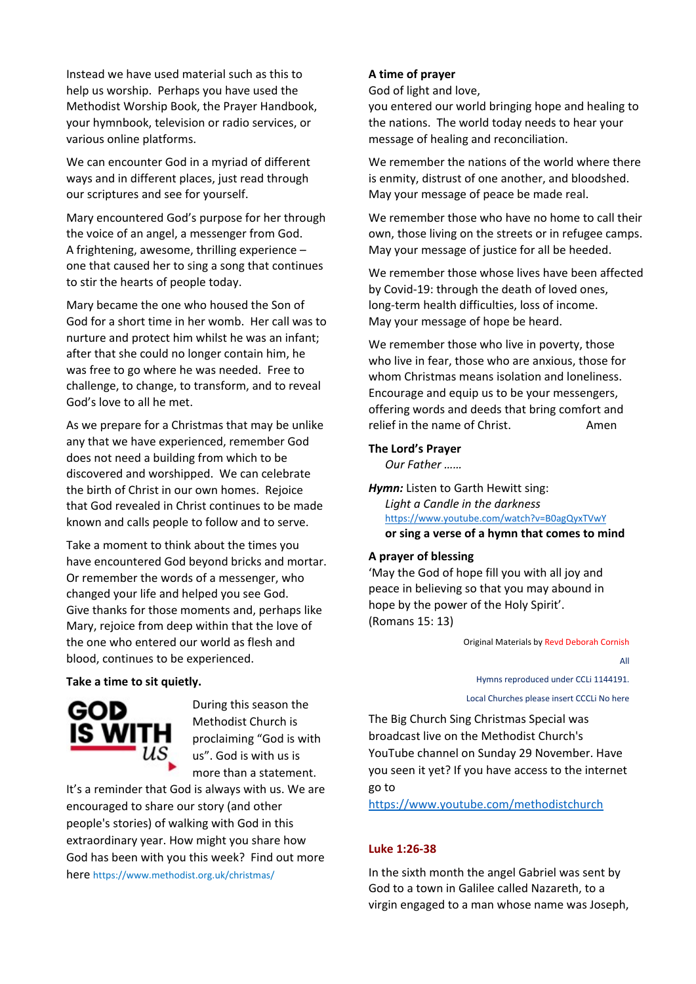Instead we have used material such as this to help us worship. Perhaps you have used the Methodist Worship Book, the Prayer Handbook, your hymnbook, television or radio services, or various online platforms.

We can encounter God in a myriad of different ways and in different places, just read through our scriptures and see for yourself.

Mary encountered God's purpose for her through the voice of an angel, a messenger from God. A frightening, awesome, thrilling experience – one that caused her to sing a song that continues to stir the hearts of people today.

Mary became the one who housed the Son of God for a short time in her womb. Her call was to nurture and protect him whilst he was an infant; after that she could no longer contain him, he was free to go where he was needed. Free to challenge, to change, to transform, and to reveal God's love to all he met.

As we prepare for a Christmas that may be unlike any that we have experienced, remember God does not need a building from which to be discovered and worshipped. We can celebrate the birth of Christ in our own homes. Rejoice that God revealed in Christ continues to be made known and calls people to follow and to serve.

Take a moment to think about the times you have encountered God beyond bricks and mortar. Or remember the words of a messenger, who changed your life and helped you see God. Give thanks for those moments and, perhaps like Mary, rejoice from deep within that the love of the one who entered our world as flesh and blood, continues to be experienced.

**Take a time to sit quietly.**



During this season the Methodist Church is proclaiming "God is with us". God is with us is more than a statement.

It's a reminder that God is always with us. We are encouraged to share our story (and other people's stories) of walking with God in this extraordinary year. How might you share how God has been with you this week? Find out more here https://www.methodist.org.uk/christmas/

## **A time of prayer**

God of light and love,

you entered our world bringing hope and healing to the nations. The world today needs to hear your message of healing and reconciliation.

We remember the nations of the world where there is enmity, distrust of one another, and bloodshed. May your message of peace be made real.

We remember those who have no home to call their own, those living on the streets or in refugee camps. May your message of justice for all be heeded.

We remember those whose lives have been affected by Covid-19: through the death of loved ones, long-term health difficulties, loss of income. May your message of hope be heard.

We remember those who live in poverty, those who live in fear, those who are anxious, those for whom Christmas means isolation and loneliness. Encourage and equip us to be your messengers, offering words and deeds that bring comfort and relief in the name of Christ. Amen

#### **The Lord's Prayer**

*Our Father ……*

*Hymn:* Listen to Garth Hewitt sing: *Light a Candle in the darkness* <https://www.youtube.com/watch?v=B0agQyxTVwY> **or sing a verse of a hymn that comes to mind**

#### **A prayer of blessing**

'May the God of hope fill you with all joy and peace in believing so that you may abound in hope by the power of the Holy Spirit'. (Romans 15: 13)

Original Materials by Revd Deborah Cornish

All

Hymns reproduced under CCLi 1144191.

Local Churches please insert CCCLi No here

The Big Church Sing Christmas Special was broadcast live on the Methodist Church's YouTube channel on Sunday 29 November. Have you seen it yet? If you have access to the internet go to

<https://www.youtube.com/methodistchurch>

#### **Luke 1:26-38**

In the sixth month the angel Gabriel was sent by God to a town in Galilee called Nazareth, to a virgin engaged to a man whose name was Joseph,